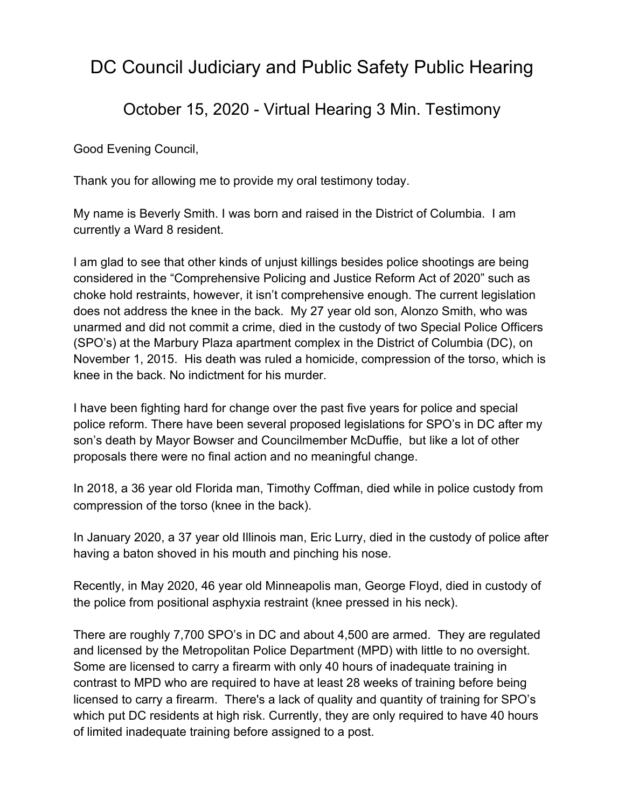## DC Council Judiciary and Public Safety Public Hearing

## October 15, 2020 - Virtual Hearing 3 Min. Testimony

Good Evening Council,

Thank you for allowing me to provide my oral testimony today.

My name is Beverly Smith. I was born and raised in the District of Columbia. I am currently a Ward 8 resident.

I am glad to see that other kinds of unjust killings besides police shootings are being considered in the "Comprehensive Policing and Justice Reform Act of 2020" such as choke hold restraints, however, it isn't comprehensive enough. The current legislation does not address the knee in the back. My 27 year old son, Alonzo Smith, who was unarmed and did not commit a crime, died in the custody of two Special Police Officers (SPO's) at the Marbury Plaza apartment complex in the District of Columbia (DC), on November 1, 2015. His death was ruled a homicide, compression of the torso, which is knee in the back. No indictment for his murder.

I have been fighting hard for change over the past five years for police and special police reform. There have been several proposed legislations for SPO's in DC after my son's death by Mayor Bowser and Councilmember McDuffie, but like a lot of other proposals there were no final action and no meaningful change.

In 2018, a 36 year old Florida man, Timothy Coffman, died while in police custody from compression of the torso (knee in the back).

In January 2020, a 37 year old Illinois man, Eric Lurry, died in the custody of police after having a baton shoved in his mouth and pinching his nose.

Recently, in May 2020, 46 year old Minneapolis man, George Floyd, died in custody of the police from positional asphyxia restraint (knee pressed in his neck).

There are roughly 7,700 SPO's in DC and about 4,500 are armed. They are regulated and licensed by the Metropolitan Police Department (MPD) with little to no oversight. Some are licensed to carry a firearm with only 40 hours of inadequate training in contrast to MPD who are required to have at least 28 weeks of training before being licensed to carry a firearm. There's a lack of quality and quantity of training for SPO's which put DC residents at high risk. Currently, they are only required to have 40 hours of limited inadequate training before assigned to a post.